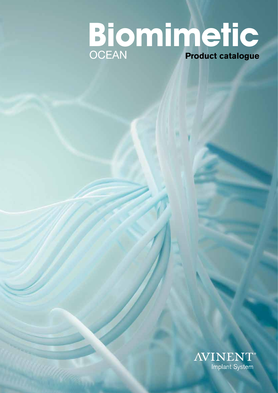

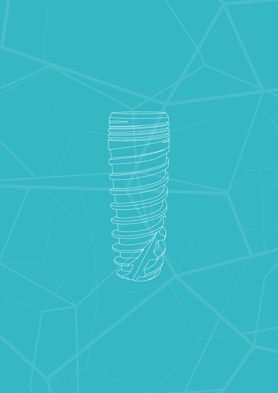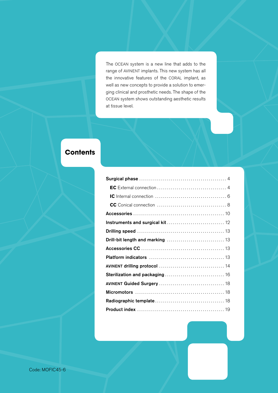The OCEAN system is a new line that adds to the range of AVINENT implants. This new system has all the innovative features of the CORAL implant, as well as new concepts to provide a solution to emerging clinical and prosthetic needs. The shape of the OCEAN system shows outstanding aesthetic results at tissue level.

### **Contents**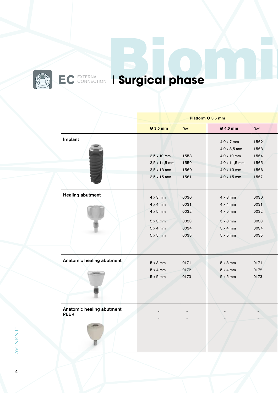EXTERNAL

## EXTERNAL **Surgical phase**

|                                          |                              | Platform Ø 3,5 mm |                   |      |  |  |  |
|------------------------------------------|------------------------------|-------------------|-------------------|------|--|--|--|
|                                          | Ø 3,5 mm                     | Ref.              | Ø 4,0 mm          | Ref. |  |  |  |
| Implant                                  |                              |                   | $4,0 \times 7$ mm | 1562 |  |  |  |
|                                          |                              |                   | 4,0 x 8,5 mm      | 1563 |  |  |  |
|                                          | 3,5 x 10 mm                  | 1558              | 4,0 x 10 mm       | 1564 |  |  |  |
|                                          | $3,5 \times 11,5 \text{ mm}$ | 1559              | 4,0 x 11,5 mm     | 1565 |  |  |  |
|                                          | 3,5 x 13 mm                  | 1560              | 4,0 x 13 mm       | 1566 |  |  |  |
|                                          | 3,5 x 15 mm                  | 1561              | 4,0 x 15 mm       | 1567 |  |  |  |
| <b>Healing abutment</b>                  | $4 \times 3$ mm              | 0030              | $4 \times 3$ mm   | 0030 |  |  |  |
|                                          | $4 \times 4$ mm              | 0031              | $4 \times 4$ mm   | 0031 |  |  |  |
|                                          | $4 \times 5$ mm              | 0032              | $4 \times 5$ mm   | 0032 |  |  |  |
|                                          | $5 \times 3$ mm              | 0033              | $5 \times 3$ mm   | 0033 |  |  |  |
|                                          | $5 \times 4$ mm              | 0034              | $5 \times 4$ mm   | 0034 |  |  |  |
|                                          | $5 \times 5$ mm              | 0035              | $5 \times 5$ mm   | 0035 |  |  |  |
|                                          |                              |                   |                   |      |  |  |  |
| Anatomic healing abutment                | $5 \times 3$ mm              | 0171              | $5 \times 3$ mm   | 0171 |  |  |  |
|                                          | $5 \times 4$ mm              | 0172              | $5 \times 4$ mm   | 0172 |  |  |  |
|                                          | $5 \times 5$ mm              | 0173              | $5 \times 5$ mm   | 0173 |  |  |  |
|                                          |                              |                   |                   |      |  |  |  |
| Anatomic healing abutment<br><b>PEEK</b> |                              |                   |                   |      |  |  |  |
|                                          |                              |                   |                   |      |  |  |  |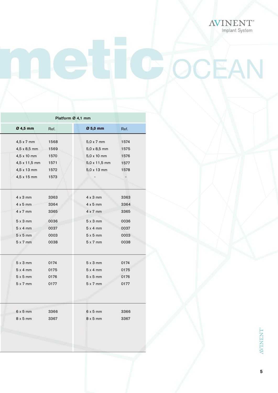**AVINENT**<sup>®</sup><br>Implant System

OCEA

OS.

#### Platform Ø 4,1 mm

| $5,0 \times 7$ mm<br>1574<br>5,0 x 8,5 mm<br>1575<br>5,0 x 10 mm<br>1576<br>1577<br>$5,0 \times 11,5 \text{ mm}$<br>5,0 x 13 mm<br>1578                                                                                                   |
|-------------------------------------------------------------------------------------------------------------------------------------------------------------------------------------------------------------------------------------------|
|                                                                                                                                                                                                                                           |
|                                                                                                                                                                                                                                           |
|                                                                                                                                                                                                                                           |
|                                                                                                                                                                                                                                           |
|                                                                                                                                                                                                                                           |
|                                                                                                                                                                                                                                           |
| 3363                                                                                                                                                                                                                                      |
| 3364                                                                                                                                                                                                                                      |
| 3365                                                                                                                                                                                                                                      |
| 0036                                                                                                                                                                                                                                      |
| 0037                                                                                                                                                                                                                                      |
| 0003                                                                                                                                                                                                                                      |
| 0038                                                                                                                                                                                                                                      |
|                                                                                                                                                                                                                                           |
| 0174                                                                                                                                                                                                                                      |
| 0175                                                                                                                                                                                                                                      |
| 0176                                                                                                                                                                                                                                      |
| 0177                                                                                                                                                                                                                                      |
|                                                                                                                                                                                                                                           |
| 3366                                                                                                                                                                                                                                      |
| 3367                                                                                                                                                                                                                                      |
| $4 \times 3$ mm<br>4x5mm<br>$4 \times 7$ mm<br>$5 \times 3$ mm<br>$5 \times 4$ mm<br>$5 \times 5$ mm<br>$5 \times 7$ mm<br>$5 \times 3$ mm<br>$5 \times 4$ mm<br>$5 \times 5$ mm<br>$5 \times 7$ mm<br>$6 \times 5$ mm<br>$8 \times 5$ mm |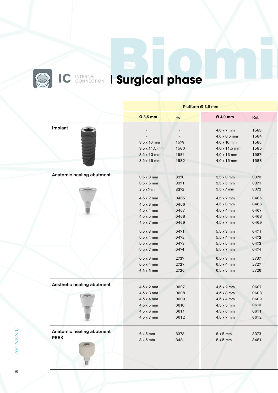IC
INTERNAL

# **Surgical phase**

|                            | Platform Ø 3,5 mm            |      |                   |      |  |
|----------------------------|------------------------------|------|-------------------|------|--|
|                            | Ø 3,5 mm                     | Ref. | Ø 4,0 mm          | Ref. |  |
| Implant                    |                              |      | 4,0 x 7 mm        | 1583 |  |
|                            |                              |      | 4,0 x 8,5 mm      | 1584 |  |
|                            | 3,5 x 10 mm                  | 1579 | 4,0 x 10 mm       | 1585 |  |
|                            | $3,5 \times 11,5 \text{ mm}$ | 1580 | 4,0 x 11,5 mm     | 1586 |  |
|                            | 3,5 x 13 mm                  | 1581 | 4,0 x 13 mm       | 1587 |  |
|                            | 3,5 x 15 mm                  | 1582 | 4,0 x 15 mm       | 1588 |  |
|                            |                              |      |                   |      |  |
| Anatomic healing abutment  | $3,5 \times 3$ mm            | 3370 | $3,5 \times 3$ mm | 3370 |  |
|                            | $3,5 \times 5$ mm            | 3371 | $3,5 \times 5$ mm | 3371 |  |
|                            | $3,5 \times 7$ mm            | 3372 | 3,5 x 7 mm        | 3372 |  |
|                            | 4,5 x 2 mm                   | 0465 | $4,5 \times 2$ mm | 0465 |  |
|                            | $4,5 \times 3$ mm            | 0466 | 4,5 x 3 mm        | 0466 |  |
|                            | $4,5 \times 4$ mm            | 0467 | $4,5 \times 4$ mm | 0467 |  |
|                            | $4,5 \times 5$ mm            | 0468 | $4,5 \times 5$ mm | 0468 |  |
|                            | 4,5 x 7 mm                   | 0469 | 4,5 x 7 mm        | 0469 |  |
|                            | 5,5 x 3 mm                   | 0471 | $5,5 \times 3$ mm | 0471 |  |
|                            | $5,5 \times 4$ mm            | 0472 | $5,5 \times 4$ mm | 0472 |  |
|                            | $5,5 \times 5$ mm            | 0473 | $5,5 \times 5$ mm | 0473 |  |
|                            | 5,5 x 7 mm                   | 0474 | 5,5 x 7 mm        | 0474 |  |
|                            | 6,5 x 3 mm                   | 2737 | 6,5 x 3 mm        | 2737 |  |
|                            | 6,5 x 4 mm                   | 2727 | 6,5 x 4 mm        | 2727 |  |
|                            | 6,5 x 5 mm                   | 2726 | 6,5 x 5 mm        | 2726 |  |
|                            |                              |      |                   |      |  |
| Aesthetic healing abutment | 4,5 x 2 mm                   | 0607 | 4,5 x 2 mm        | 0607 |  |
|                            | $4,5 \times 3$ mm            | 0608 | $4,5 \times 3$ mm | 0608 |  |
|                            | $4,5 \times 4$ mm            | 0609 | $4,5 \times 4$ mm | 0609 |  |
|                            | $4,5 \times 5$ mm            | 0610 | $4,5 \times 5$ mm | 0610 |  |
|                            | $4,5 \times 6$ mm            | 0611 | 4,5 x 6 mm        | 0611 |  |
|                            | 4,5 x 7 mm                   | 0612 | 4,5 x 7 mm        | 0612 |  |
|                            |                              |      |                   |      |  |
| Anatomic healing abutment  | $6 \times 5$ mm              | 3373 | $6 \times 5$ mm   | 3373 |  |
| <b>PEEK</b>                | $8 \times 5$ mm              | 3481 | $8 \times 5$ mm   | 3481 |  |
| ÷                          |                              |      |                   |      |  |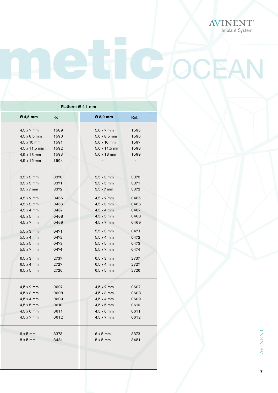**AVINENT**® Implant System

#### Platform Ø 4,1 mm **Ø 3,5 mm** Ref. **Ø 4,0 mm** Ref. **Ø 4,5 mm** Ref. **Ø 5,0 mm** Ref. 4,5 x 7 mm 4,5 x 8,5 mm 4,5 x 10 mm 4,5 x 11,5 mm 4,5 x 13 mm 4,5 x 15 mm 1589 1590 1591 1592 1593 1594 5,0 x 7 mm 5,0 x 8,5 mm 5,0 x 10 mm 5,0 x 11,5 mm 5,0 x 13 mm - 1595 1596 1597 1598 1599 - 3,5 x 3 mm 3,5 x 5 mm 3,5 x7 mm 4,5 x 2 mm 4,5 x 3 mm 4,5 x 4 mm 4,5 x 5 mm 4,5 x 7 mm 5,5 x 3 mm 5,5 x 4 mm 5,5 x 5 mm 5,5 x 7 mm 6,5 x 3 mm 6,5 x 4 mm 6,5 x 5 mm 3370 3371 3372 0465 0466 0467 0468 0469 0471 0472 0473 0474 2737 2727 2726 3,5 x 3 mm 3,5 x 5 mm 3,5 x7 mm 4,5 x 2 mm 4,5 x 3 mm 4,5 x 4 mm 4,5 x 5 mm 4,5 x 7 mm 5,5 x 3 mm 5,5 x 4 mm 5,5 x 5 mm 5,5 x 7 mm 6,5 x 3 mm 6,5 x 4 mm 6,5 x 5 mm 3370 3371 3372 0465 0466 0467 0468 0469 0471 0472 0473 0474 2737 2727 2726 4,5 x 2 mm 4,5 x 3 mm 4,5 x 4 mm 4,5 x 5 mm 4,5 x 6 mm 4,5 x 7 mm 0607 0608 0609 0610 0611 0612 4,5 x 2 mm 4,5 x 3 mm 4,5 x 4 mm 4,5 x 5 mm 4,5 x 6 mm 4,5 x 7 mm 0607 0608 0609 0610 0611 0612 6 x 5 mm 8 x 5 mm 3373 3481 6 x 5 mm 8 x 5 mm 3373 3481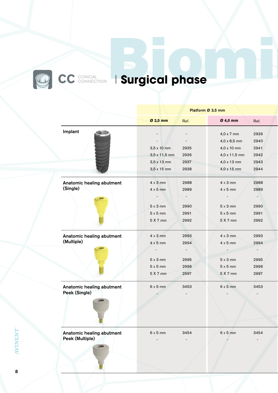$\bigcirc$ 

## **CC** CONICAL **Surgical phase**

|                                              | Platform Ø 3,5 mm        |                |                 |                                  |
|----------------------------------------------|--------------------------|----------------|-----------------|----------------------------------|
|                                              | Ø 3,5 mm                 | Ref.           | Ø 4,0 mm        | Ref.                             |
| Implant                                      |                          |                | 4,0 x 7 mm      | 2939                             |
|                                              | $\sim$                   | $\sim$         | 4,0 x 8,5 mm    | 2940                             |
|                                              | 3,5 x 10 mm              | 2935           | 4,0 x 10 mm     | 2941                             |
|                                              | 3,5 x 11,5 mm            | 2936           | 4,0 x 11,5 mm   | 2942                             |
|                                              | $3,5 \times 13$ mm       | 2937           | 4,0 x 13 mm     | 2943                             |
|                                              | $3,5 \times 15$ mm       | 2938           | 4,0 x 15 mm     | 2944                             |
|                                              |                          |                |                 |                                  |
| Anatomic healing abutment                    | $4 \times 3$ mm          | 2988           | $4 \times 3$ mm | 2988                             |
| (Single)                                     | $4 \times 5$ mm          | 2989           | $4 \times 5$ mm | 2989                             |
|                                              | $\overline{\phantom{a}}$ | $\sim$ $-$     | $\sim$          | in the                           |
|                                              | $5 \times 3$ mm          | 2990           | $5 \times 3$ mm | 2990                             |
|                                              | $5 \times 5$ mm          | 2991           | $5 \times 5$ mm | 2991                             |
|                                              | 5 X 7 mm                 | 2992           | 5 X 7 mm        | 2992                             |
|                                              |                          |                |                 |                                  |
| Anatomic healing abutment                    | $4 \times 3$ mm          | 2993           | $4 \times 3$ mm | 2993                             |
| (Multiple)                                   | $4 \times 5$ mm          | 2994           | $4 \times 5$ mm | 2994                             |
|                                              |                          | $\sim$         |                 | $\overline{\phantom{a}}$         |
|                                              | $5 \times 3$ mm          | 2995           | $5 \times 3$ mm | 2995                             |
|                                              | $5 \times 5$ mm          | 2996           | $5 \times 5$ mm | 2996                             |
|                                              | 5 X 7 mm                 | 2997           | 5 X 7 mm        | 2997                             |
| Anatomic healing abutment<br>Peek (Single)   | $6 \times 5$ mm          | 3453<br>$\sim$ | $6 \times 5$ mm | 3453<br>$\overline{\phantom{a}}$ |
|                                              |                          |                |                 |                                  |
|                                              |                          |                |                 |                                  |
|                                              |                          |                |                 |                                  |
| Anatomic healing abutment<br>Peek (Multiple) | $6 \times 5$ mm          | 3454           | $6 \times 5$ mm | 3454                             |
|                                              |                          |                |                 |                                  |
|                                              |                          |                |                 |                                  |
|                                              |                          |                |                 |                                  |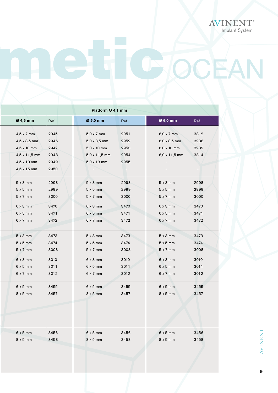$\label{eq:subm} \underset{\text{Implant System}}{\text{NUNENT}^*}$ 

|                 |      | Platform Ø 4,1 mm          |                          |                 |                          |  |
|-----------------|------|----------------------------|--------------------------|-----------------|--------------------------|--|
| Ø 4,5 mm        | Ref. | Ø 5,0 mm                   | Ref.                     | Ø 6,0 mm        | Ref.                     |  |
| 4,5 x 7 mm      | 2945 | 5,0 x 7 mm                 | 2951                     | 6,0 x 7 mm      | 3812                     |  |
| 4,5 x 8,5 mm    | 2946 | $5,0 \times 8,5$ mm        | 2952                     | 6,0 x 8,5 mm    | 3938                     |  |
| 4,5 x 10 mm     | 2947 | $5,0 \times 10 \text{ mm}$ | 2953                     | 6,0 x 10 mm     | 3939                     |  |
| 4,5 x 11,5 mm   | 2948 | 5,0 x 11,5 mm              | 2954                     | 6,0 x 11,5 mm   | 3814                     |  |
| 4,5 x 13 mm     | 2949 | $5,0 \times 13$ mm         | 2955                     |                 |                          |  |
| 4,5 x 15 mm     | 2950 |                            | $\overline{\phantom{a}}$ |                 | $\overline{\phantom{a}}$ |  |
| $5 \times 3$ mm | 2998 | $5 \times 3$ mm            | 2998                     | $5 \times 3$ mm | 2998                     |  |
| $5 \times 5$ mm | 2999 | $5 \times 5$ mm            | 2999                     | $5 \times 5$ mm | 2999                     |  |
| $5 \times 7$ mm | 3000 | $5 \times 7$ mm            | 3000                     | $5 \times 7$ mm | 3000                     |  |
| $6 \times 3$ mm | 3470 | $6 \times 3$ mm            | 3470                     | $6 \times 3$ mm | 3470                     |  |
| $6 \times 5$ mm | 3471 | $6 \times 5$ mm            | 3471                     | $6 \times 5$ mm | 3471                     |  |
| $6 \times 7$ mm | 3472 | $6 \times 7$ mm            | 3472                     | $6 \times 7$ mm | 3472                     |  |
| $5 \times 3$ mm | 3473 | $5 \times 3$ mm            | 3473                     | $5 \times 3$ mm | 3473                     |  |
| $5 \times 5$ mm | 3474 | $5 \times 5$ mm            | 3474                     | $5 \times 5$ mm | 3474                     |  |
| $5 \times 7$ mm | 3008 | $5 \times 7$ mm            | 3008                     | $5 \times 7$ mm | 3008                     |  |
| $6 \times 3$ mm | 3010 | $6 \times 3$ mm            | 3010                     | $6 \times 3$ mm | 3010                     |  |
| $6 \times 5$ mm | 3011 | $6 \times 5$ mm            | 3011                     | $6 \times 5$ mm | 3011                     |  |
| $6 \times 7$ mm | 3012 | $6 \times 7$ mm            | 3012                     | $6 \times 7$ mm | 3012                     |  |
| $6 \times 5$ mm | 3455 | $6 \times 5$ mm            | 3455                     | $6 \times 5$ mm | 3455                     |  |
| $8 \times 5$ mm | 3457 | $8 \times 5$ mm            | 3457                     | $8 \times 5$ mm | 3457                     |  |
|                 |      |                            |                          |                 |                          |  |
|                 |      |                            |                          |                 |                          |  |
| $6 \times 5$ mm | 3456 | $6 \times 5$ mm            | 3456                     | $6 \times 5$ mm | 3456                     |  |

8 x 5 mm

3458

8 x 5 mm

3458

8 x 5 mm

3458

 $\Lambda\!V\text{INENT}^*$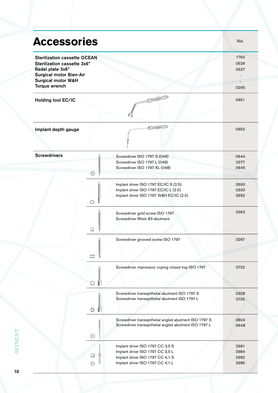| <b>Accessories</b>                  |                     |                                                        | Ref. |
|-------------------------------------|---------------------|--------------------------------------------------------|------|
| <b>Sterilization cassette OCEAN</b> |                     |                                                        | 1763 |
| Sterilization cassette 3x6"         |                     |                                                        | 0526 |
|                                     |                     |                                                        |      |
| Radel plate 3x6"                    |                     |                                                        | 0527 |
| Surgical motor Bien-Air             |                     |                                                        |      |
| <b>Surgical motor W&amp;H</b>       |                     |                                                        |      |
| <b>Torque wrench</b>                |                     |                                                        | 0295 |
| Holding tool EC/IC                  |                     |                                                        | 0651 |
|                                     |                     |                                                        |      |
|                                     |                     |                                                        |      |
|                                     |                     |                                                        |      |
| Implant depth gauge                 |                     | <b>Changed Park</b>                                    | 0652 |
|                                     |                     |                                                        |      |
|                                     |                     |                                                        |      |
| <b>Screwdrivers</b>                 |                     | Screwdriver ISO 1797 S (048)                           | 0644 |
|                                     |                     | Screwdriver ISO 1797 L (048)                           | 0277 |
|                                     |                     | Screwdriver ISO 1797 XL (048)                          | 0645 |
|                                     | $\circlearrowright$ |                                                        |      |
|                                     |                     | Implant driver ISO 1797 EC/IC S (2.5)                  | 2693 |
|                                     |                     | Implant driver ISO 1797 EC/IC L (2.5)                  | 0300 |
|                                     |                     | Implant driver ISO 1797 W&H EC/IC (2.5)                | 2692 |
|                                     | $\circlearrowright$ |                                                        |      |
|                                     |                     | Screwdriver gold screw ISO 1797                        | 0263 |
|                                     |                     | Screwdriver Rhein 83 abutment                          |      |
|                                     | □                   |                                                        |      |
|                                     |                     |                                                        |      |
|                                     |                     | Screwdriver grooved screw ISO 1797                     | 0267 |
|                                     |                     |                                                        |      |
|                                     |                     |                                                        |      |
|                                     | ▭                   |                                                        |      |
|                                     |                     | Screwdriver impression coping closed tray ISO 1797     | 0723 |
|                                     |                     |                                                        |      |
|                                     |                     |                                                        |      |
|                                     |                     | Screwdriver transepithelial abutment ISO 1797 S        | 0328 |
|                                     |                     | Screwdriver transepithelial abutment ISO 1797 L        | 0726 |
|                                     |                     |                                                        |      |
|                                     | ╬                   |                                                        |      |
|                                     |                     | Screwdriver transepithelial angled abutment ISO 1797 S | 0804 |
|                                     |                     | Screwdriver transepithelial angled abutment ISO 1797 L | 0648 |
|                                     | $\circlearrowright$ |                                                        |      |
|                                     |                     | Implant driver ISO 1797 CC 3,5 S                       | 2981 |
|                                     |                     | Implant driver ISO 1797 CC 3,5 L                       | 2984 |
|                                     |                     | Implant driver ISO 1797 CC 4,1 S                       | 2982 |
|                                     | $\circlearrowright$ | Implant driver ISO 1797 CC 4,1 L                       | 2985 |
|                                     |                     |                                                        |      |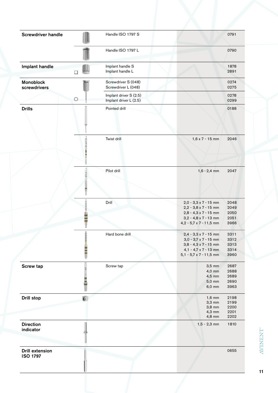| <b>Screwdriver handle</b>                 |                     | Handle ISO 1797 S                                |                                                                                                                                                         | 0791                                 |
|-------------------------------------------|---------------------|--------------------------------------------------|---------------------------------------------------------------------------------------------------------------------------------------------------------|--------------------------------------|
|                                           |                     | Handle ISO 1797 L                                |                                                                                                                                                         | 0790                                 |
| Implant handle                            | $\Box$              | Implant handle S<br>Implant handle L             |                                                                                                                                                         | 1878<br>2891                         |
| <b>Monoblock</b><br>screwdrivers          |                     | Screwdriver S (048)<br>Screwdriver L (048)       |                                                                                                                                                         | 0274<br>0275                         |
|                                           | $\circlearrowright$ | Implant driver S (2.5)<br>Implant driver L (2.5) |                                                                                                                                                         | 0278<br>0299                         |
| <b>Drills</b>                             |                     | Pointed drill                                    |                                                                                                                                                         | 0188                                 |
|                                           |                     | Twist drill                                      | 1,6 x 7 - 15 mm                                                                                                                                         | 2046                                 |
|                                           |                     | Pilot drill                                      | $1,6 - 2,4$ mm                                                                                                                                          | 2047                                 |
|                                           |                     | Drill                                            | 2,0 - 3,3 x 7 - 15 mm                                                                                                                                   | 2048                                 |
|                                           |                     |                                                  | 2,2 - 3,8 x 7 - 15 mm<br>$2,8 - 4,3 \times 7 - 15$ mm<br>$3,2 - 4,8 \times 7 - 13$ mm<br>4,2 - 5,7 x 7 - 11,5 mm                                        | 2049<br>2050<br>2051<br>3966         |
|                                           |                     | Hard bone drill                                  | 2,4 - 3,3 x 7 - 15 mm<br>$3,0 - 3,7 \times 7 - 15$ mm<br>$3,8 - 4,3 \times 7 - 15$ mm<br>$4,1 - 4,7 \times 7 - 13$ mm<br>$5,1 - 5,7 \times 7 - 11,5$ mm | 3311<br>3312<br>3313<br>3314<br>3960 |
| Screw tap                                 |                     | Screw tap                                        | $3,5$ mm<br>4,0 mm<br>4,5 mm<br>5,0 mm<br>6,0 mm                                                                                                        | 2687<br>2688<br>2689<br>2690<br>3963 |
| <b>Drill stop</b>                         | Õ                   |                                                  | $1,6$ mm<br>$3,3$ mm<br>$3,8$ mm<br>$4,3$ mm<br>4,8 mm                                                                                                  | 2198<br>2199<br>2200<br>2201<br>2202 |
| <b>Direction</b><br>indicator             |                     |                                                  | $1,5 - 2,3$ mm                                                                                                                                          | 1810                                 |
| <b>Drill extension</b><br><b>ISO 1797</b> |                     |                                                  |                                                                                                                                                         | 0655                                 |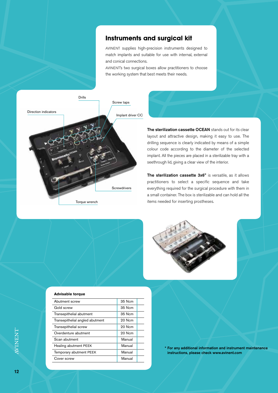#### **Instruments and surgical kit**

AVINENT supplies high-precision instruments designed to match implants and suitable for use with internal, external and conical connections.

AVINENT's two surgical boxes allow practitioners to choose the working system that best meets their needs.



The sterilization cassette OCEAN stands out for its clear layout and attractive design, making it easy to use. The drilling sequence is clearly indicated by means of a simple colour code according to the diameter of the selected implant. All the pieces are placed in a sterilizable tray with a seethrough lid, giving a clear view of the interior.

The sterilization cassette 3x6" is versatile, as it allows practitioners to select a specific sequence and take everything required for the surgical procedure with them in a small container. The box is sterilizable and can hold all the items needed for inserting prostheses.



#### **Advisable torque**

| Abutment screw                  | 35 Ncm |  |
|---------------------------------|--------|--|
| Gold screw                      | 35 Ncm |  |
| Transepithelial abutment        | 35 Ncm |  |
| Transepithelial angled abutment | 20 Ncm |  |
| Transepithelial screw           | 20 Ncm |  |
| Overdenture abutment            | 20 Ncm |  |
| Scan abutment                   | Manual |  |
| Healing abutment PEEK           | Manual |  |
| Temporary abutment PEEK         | Manual |  |
| Cover screw                     | Manual |  |
|                                 |        |  |

\* For any additional information and instrument maintenance instructions, please check www.avinent.com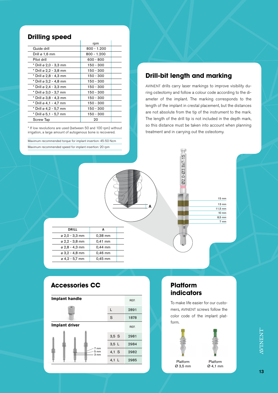#### **Drilling speed**

|                            | rpm         |  |
|----------------------------|-------------|--|
| Guide drill                | 800 - 1.200 |  |
| Drill $\varnothing$ 1,6 mm | 800 - 1.200 |  |
| Pilot drill                | $600 - 800$ |  |
| * Drill ø 2,0 - 3,3 mm     | 150 - 300   |  |
| * Drill ø 2,2 - 3,8 mm     | 150 - 300   |  |
| * Drill ø 2,8 - 4,3 mm     | 150 - 300   |  |
| * Drill ø 3,2 - 4,8 mm     | 150 - 300   |  |
| * Drill ø 2,4 - 3,3 mm     | 150 - 300   |  |
| * Drill ø 3,0 - 3,7 mm     | 150 - 300   |  |
| * Drill ø 3,8 - 4,3 mm     | 150 - 300   |  |
| * Drill ø 4,1 - 4,7 mm     | 150 - 300   |  |
| * Drill ø 4,2 - 5,7 mm     | 150 - 300   |  |
| * Drill ø 5,1 - 5,7 mm     | 150 - 300   |  |
| Screw Tap                  | 20          |  |

\* If low revolutions are used (between 50 and 100 rpm) without irrigation, a large amount of autogenous bone is recovered.

Maximum recommended torque for implant insertion: 45-50 Ncm Maximum recommended speed for implant insertion: 20 rpm

#### **Drill-bit length and marking**

蒚

AVINENT drills carry laser markings to improve visibility during osteotomy and follow a colour code according to the diameter of the implant. The marking corresponds to the length of the implant in crestal placement, but the distances are not absolute from the tip of the instrument to the mark. The length of the drill tip is not included in the depth mark, so this distance must be taken into account when planning treatment and in carrying out the osteotomy.

|                        |         | 02.0-03.8x7-1<br>A |  |
|------------------------|---------|--------------------|--|
| <b>DRILL</b>           | А       |                    |  |
| ø 2,0 - 3,3 mm         | 0,38 mm |                    |  |
| $\varphi$ 2,2 - 3,8 mm | 0,41 mm |                    |  |
| $\varphi$ 2,8 - 4,3 mm | 0,44 mm |                    |  |
| ø 3,2 - 4,8 mm         | 0,46 mm |                    |  |

### **Accessories CC**

 $\sigma$  4,2 - 5,7 mm 0,45 mm

| Implant handle        |               | REF. |
|-----------------------|---------------|------|
|                       | L             | 2891 |
|                       | S             | 1878 |
| <b>Implant driver</b> |               | REF. |
|                       | $3,5$ S       | 2981 |
|                       | $3,5$ L       | 2984 |
| 7 mm<br>5 mm<br>3 mm  | $4,1$ S       | 2982 |
|                       | 4,1 $\lfloor$ | 2985 |

#### **Platform indicators**

To make life easier for our customers, AVINENT screws follow the color code of the implant platform.



Platform Ø 3,5 mm



15 mm 13 mm  $11,5$  mm  $10 \text{ mm}$ 8,5 mm 7 mm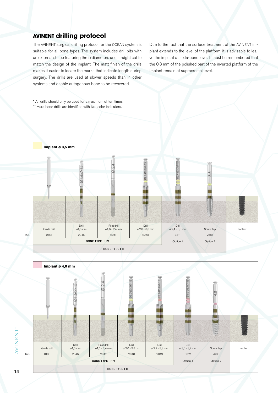#### **AVINENT drilling protocol**

The AVINENT surgical drilling protocol for the OCEAN system is suitable for all bone types. The system includes drill bits with an external shape featuring three diameters and straight cut to match the design of the implant. The matt finish of the drills makes it easier to locate the marks that indicate length during surgery. The drills are used at slower speeds than in other systems and enable autogenous bone to be recovered.

Due to the fact that the surface treatment of the AVINENT implant extends to the level of the platform, it is advisable to leave the implant at juxta-bone level. It must be remembered that the 0.3 mm of the polished part of the inverted platform of the implant remain at supracrestal level.

- \* All drills should only be used for a maximum of ten times.
- \*\* Hard bone drills are identified with two color indicators.

**Implant ø 3,5 mm**





**AVINENT**\*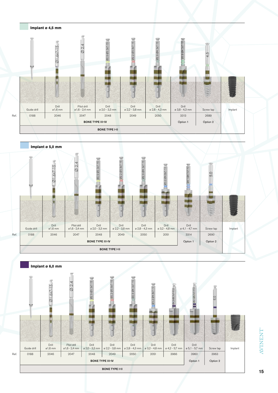



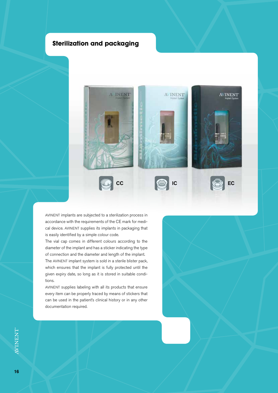#### **Sterilization and packaging**



AVINENT implants are subjected to a sterilization process in accordance with the requirements of the CE mark for medical device. AVINENT supplies its implants in packaging that is easily identified by a simple colour code.

The vial cap comes in different colours according to the diameter of the implant and has a sticker indicating the type of connection and the diameter and length of the implant. The AVINENT implant system is sold in a sterile blister pack, which ensures that the implant is fully protected until the given expiry date, so long as it is stored in suitable conditions.

AVINENT supplies labeling with all its products that ensure every item can be properly traced by means of stickers that can be used in the patient's clinical history or in any other documentation required.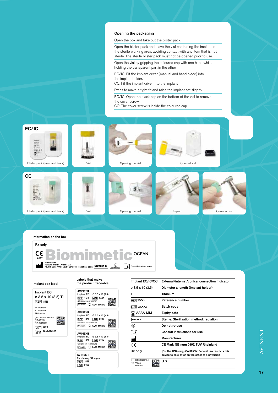#### Opening the packaging

Open the box and take out the blister pack.

Open the blister pack and leave the vial containing the implant in the sterile working area, avoiding contact with any item that is not sterile. The sterile blister pack must not be opened prior to use.

Open the vial by gripping the coloured cap with one hand while holding the transparent part in the other.

EC/IC: Fit the implant driver (manual and hand piece) into the implant holder.

CC: Fit the implant driver into the implant.

Press to make a tight fit and raise the implant set slightly.

EC/IC: Open the black cap on the bottom of the vial to remove the cover screw.

CC: The cover screw is inside the coloured cap.











Opened vial



Blister pack (front and back)

Information on the box



| Implant EC<br>ø 3.5 x 10 (3.5) Ti<br><b>REF</b> 1558                          | Imp<br>RE<br>GTII |
|-------------------------------------------------------------------------------|-------------------|
| <b>ES</b> Implante                                                            | STER              |
| PT Implante<br>FR Implant                                                     | AV                |
| (01) 08435452001046                                                           | Imp<br>RE         |
| (1C) XXXXX<br>(17) AAMMDD                                                     | GTII              |
| <b>XXXX</b><br><b>LOT</b>                                                     | STER              |
| $\sum_{\mathbf{a}} \mathsf{v}_{\mathbf{a}\mathbf{v}}^{\mathbf{c}}$ AAAA-MM-DD | AV                |
|                                                                               | Imp               |
|                                                                               | RE                |
|                                                                               | GTII              |

Labels that make Implant box label the product traceable

> **INENT**<br>plant EC  $\varnothing$  3.5 x 10 (3.5) 1558 LOT XXXX p. GTIN 08435452001046 AAAA-MM-DD

#### **AVINENT**<br>Implant EC  $\emptyset$  3.5 x 10 (3.5) 1558 LOT XXXX 既送 GTIN 08435452001046 AAAA-MM-DD

**AVINENT**<br>Implant EC  $\emptyset$  3.5 x 10 (3.5) 1558 LOT XXXX GTIN 08435452001046 AAAA-MM-DD

**INENT** Purchasing / Compra<br>**REF** 1558 LOT XXXX

| Implant EC/IC/CC                                 | External/internal/conical connection indicator                                                             |  |  |  |
|--------------------------------------------------|------------------------------------------------------------------------------------------------------------|--|--|--|
| ø 3.5 x 10 (3.5)                                 | Diameter x length (implant holder)                                                                         |  |  |  |
| Ti                                               | Titanium                                                                                                   |  |  |  |
| <b>REF</b> 1558                                  | Reference number                                                                                           |  |  |  |
| LOT XXXXX                                        | <b>Batch code</b>                                                                                          |  |  |  |
| AAAA-MM                                          | Expiry date                                                                                                |  |  |  |
| STERILE R                                        | Sterile. Sterilization method: radiation                                                                   |  |  |  |
| ▧                                                | Do not re-use                                                                                              |  |  |  |
| μi                                               | <b>Consult instructions for use</b>                                                                        |  |  |  |
| ш                                                | Manufacturer                                                                                               |  |  |  |
| $\epsilon$                                       | CE Mark NB num 0197. TÜV Rheinland                                                                         |  |  |  |
| Rx only                                          | (For the USA only) CAUTION: Federal law restricts this<br>device to sale by or on the order of a physician |  |  |  |
| (01) 08435452001046<br>(1C) XXXXX<br>(17) AAMMDD | <b>U.D.I.</b>                                                                                              |  |  |  |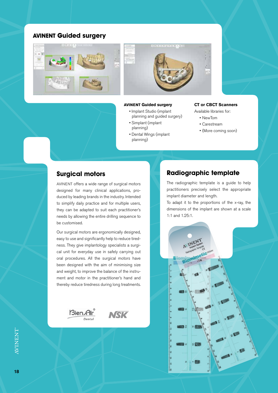#### **AVINENT Guided surgery**





#### **AVINENT Guided surgery**

- Implant Studio (implant planning and guided surgery)
- Simplant (implant planning)
- Dental Wings (implant planning)

#### **CT or CBCT Scanners**

Available libraries for:

- NewTom
- Carestream
- (More coming soon)

#### **Surgical motors**

AVINENT offers a wide range of surgical motors designed for many clinical applications, produced by leading brands in the industry. Intended to simplify daily practice and for multiple users, they can be adapted to suit each practitioner's needs by allowing the entire drilling sequence to be customised.

Our surgical motors are ergonomically designed, easy to use and significantly help to reduce tiredness. They give implantology specialists a surgical unit for everyday use in safely carrying out oral procedures. All the surgical motors have been designed with the aim of minimising size and weight, to improve the balance of the instrument and motor in the practitioner's hand and thereby reduce tiredness during long treatments.





#### **Radiographic template**

The radiographic template is a guide to help practitioners precisely select the appropriate implant diameter and length.

To adapt it to the proportions of the x-ray, the dimensions of the implant are shown at a scale 1:1 and 1.25:1.

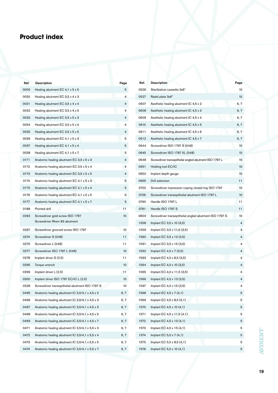### **Product index**

| Ref. | Description                                     | Page | Ref. | <b>Description</b>                                     | Page |
|------|-------------------------------------------------|------|------|--------------------------------------------------------|------|
| 0003 | Healing abutment EC $4,1 \times 5 \times 5$     | 5    | 0526 | Sterilization cassette 3x6"                            | 10   |
| 0030 | Healing abutment EC $3,5 \times 4 \times 3$     | 4    | 0527 | Radel plate 3x6"                                       | 10   |
| 0031 | Healing abutment EC 3,5 x 4 x 4                 | 4    | 0607 | Aesthetic healing abutment IC 4,5 x 2                  | 6, 7 |
| 0032 | Healing abutment EC 3,5 x 4 x 5                 | 4    | 0608 | Aesthetic healing abutment IC 4,5 x 3                  | 6, 7 |
| 0033 | Healing abutment EC 3,5 x 5 x 3                 | 4    | 0609 | Aesthetic healing abutment IC 4,5 x 4                  | 6, 7 |
| 0034 | Healing abutment EC $3,5 \times 5 \times 4$     | 4    | 0610 | Aesthetic healing abutment IC 4,5 x 5                  | 6, 7 |
| 0035 | Healing abutment EC 3,5 x 5 x 5                 | 4    | 0611 | Aesthetic healing abutment IC 4,5 x 6                  | 6, 7 |
| 0036 | Healing abutment EC $4,1 \times 5 \times 3$     | 5    | 0612 | Aesthetic healing abutment IC 4,5 x 7                  | 6, 7 |
| 0037 | Healing abutment EC 4,1 x 5 x 4                 | 5    | 0644 | Screwdriver ISO 1797 S (048)                           | 10   |
| 0038 | Healing abutment EC 4,1 x 5 x 7                 | 5    | 0645 | Screwdriver ISO 1797 XL (048)                          | 10   |
| 0171 | Anatomic healing abutment EC 3,5 x 5 x 3        | 4    | 0648 | Screwdriver transepithelial angled abutment ISO 1797 L | 10   |
| 0172 | Anatomic healing abutment EC 3,5 x 5 x 4        | 4    | 0651 | Holding tool EC/IC                                     | 10   |
| 0173 | Anatomic healing abutment EC 3,5 x 5 x 5        | 4    | 0652 | Implant depth gauge                                    | 10   |
| 0174 | Anatomic healing abutment EC 4,1 x 5 x 3        | 5    | 0655 | Drill extension                                        | 11   |
| 0175 | Anatomic healing abutment EC 4,1 x 5 x 4        | 5    | 0723 | Screwdriver impression coping closed tray ISO 1797     | 10   |
| 0176 | Anatomic healing abutment EC 4,1 x 5 x 5        | 5    | 0726 | Screwdriver transepithelial abutment ISO 1797 L        | 10   |
| 0177 | Anatomic healing abutment EC 4,1 x 5 x 7        | 5    | 0790 | Handle ISO 1797 L                                      | 11   |
| 0188 | Pointed drill                                   | 11   | 0791 | Handle ISO 1797 S                                      | 11   |
| 0263 | Screwdriver gold screw ISO 1797                 | 10   | 0804 | Screwdriver transepithelial angled abutment ISO 1797 S | 10   |
|      | Screwdriver Rhein 83 abutment                   |      | 1558 | Implant EC 3,5 x 10 (3,5)                              | 4    |
| 0267 | Screwdriver grooved screw ISO 1797              | 10   | 1559 | Implant EC 3,5 x 11,5 (3,5)                            | 4    |
| 0274 | Screwdriver S (048)                             | 11   | 1560 | Implant EC 3,5 x 13 (3,5)                              | 4    |
| 0275 | Screwdriver L (048)                             | 11   | 1561 | Implant EC 3,5 x 15 (3,5)                              | 4    |
| 0277 | Screwdriver ISO 1797 L (048)                    | 10   | 1562 | Implant EC 4,0 x 7 (3,5)                               | 4    |
| 0278 | Implant driver S (2.5)                          | 11   | 1563 | Implant EC 4,0 x 8,5 (3,5)                             | 4    |
| 0295 | Torque wrench                                   | 10   | 1564 | Implant EC 4,0 x 10 (3,5)                              | 4    |
| 0299 | Implant driver L (2.5)                          | 11   | 1565 | Implant EC 4,0 x 11,5 (3,5)                            |      |
| 0300 | Implant driver ISO 1797 EC/IC L (2.5)           | 10   | 1566 | Implant EC 4,0 x 13 (3,5)                              | 4    |
| 0328 | Screwdriver transepithelial abutment ISO 1797 S | 10   | 1567 | Implant EC 4,0 x 15 (3,5)                              | 4    |
| 0465 | Anatomic healing abutment IC 3,5/4,1 x 4,5 x 2  | 6, 7 | 1568 | Implant EC $4,5 \times 7(4,1)$                         | 5    |
| 0466 | Anatomic healing abutment IC 3,5/4,1 x 4,5 x 3  | 6, 7 | 1569 | Implant EC $4,5 \times 8,5(4,1)$                       | 5    |
| 0467 | Anatomic healing abutment IC 3,5/4,1 x 4,5 x 3  | 6, 7 | 1570 | Implant EC $4,5 \times 10 (4,1)$                       | 5    |
| 0468 | Anatomic healing abutment IC 3,5/4,1 x 4,5 x 5  | 6, 7 | 1571 | Implant EC 4,5 x 11,5 (4,1)                            | 5    |
| 0469 | Anatomic healing abutment IC 3,5/4,1 x 4,5 x 7  | 6, 7 | 1572 | Implant EC $4,5 \times 13(4,1)$                        | 5    |
| 0471 | Anatomic healing abutment IC 3,5/4,1 x 5,5 x 3  | 6, 7 | 1573 | Implant EC $4,5 \times 15 (4,1)$                       | 5    |
| 0472 | Anatomic healing abutment IC 3,5/4,1 x 5,5 x 4  | 6, 7 | 1574 | Implant EC $5,0 \times 7(4,1)$                         | 5    |
| 0473 | Anatomic healing abutment IC 3,5/4,1 x 5,5 x 5  | 6, 7 | 1575 | Implant EC 5,0 x 8,5 (4,1)                             | 5    |
| 0474 | Anatomic healing abutment IC 3,5/4,1 x 5,5 x 7  | 6, 7 | 1576 | Implant EC 5,0 x 10 (4,1)                              | 5    |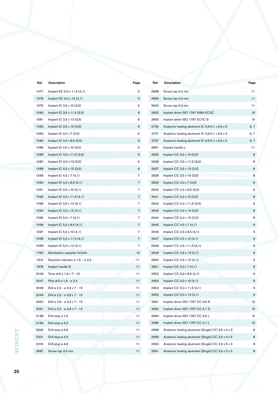| Ref. | Description                                               | Page             | Ref. | Description                                       | Page |
|------|-----------------------------------------------------------|------------------|------|---------------------------------------------------|------|
| 1577 | Implant EC 5,0 x 11,5 (4,1)                               | 5                | 2688 | Screw tap 4,0 mm                                  | 11   |
| 1578 | Implant EC $5,0 \times 13(4,1)$                           | 5                | 2689 | Screw tap 4,5 mm                                  | 11   |
| 1579 | Implant IC $3,5 \times 10 (3,5)$                          | 6                | 2690 | Screw tap 5,0 mm                                  | 11   |
| 1580 | Implant IC 3,5 x 11,5 (3,5)                               | 6                | 2692 | Implant driver ISO 1797 W&H EC/IC                 | 10   |
| 1581 | Implant IC 3,5 x 13 (3,5)                                 | 6                | 2693 | Implant driver ISO 1797 EC/IC S                   | 10   |
| 1582 | Implant IC $3,5 \times 15 (3,5)$                          | 6                | 2726 | Anatomic healing abutment IC 3,5/4,1 x 6,5 x 5    | 6, 7 |
| 1583 | Implant IC $4,0 \times 7$ $(3,5)$                         | 6                | 2727 | Anatomic healing abutment IC 3,5/4,1 x 6,5 x 4    | 6, 7 |
| 1584 | Implant IC $4,0 \times 8,5 (3,5)$                         | 6                | 2737 | Anatomic healing abutment IC 3,5/4,1 x 6,5 x 3    | 6, 7 |
| 1585 | Implant IC $4,0 \times 10 (3,5)$                          | 6                | 2891 | Implant handle L                                  | 11   |
| 1586 | Implant IC 4,0 x 11,5 (3,5)                               | 6                | 2935 | Implant CC 3,5 x 10 (3,5)                         | 8    |
| 1587 | Implant IC $4,0 \times 13$ $(3,5)$                        | 6                | 2936 | Implant CC 3,5 x 11,5 (3,5)                       | 8    |
| 1588 | Implant IC $4,0 \times 15 (3,5)$                          | 6                | 2937 | Implant CC 3,5 x 13 (3,5)                         | 8    |
| 1589 | Implant IC $4,5 \times 7(4,1)$                            | 7                | 2938 | Implant CC 3,5 x 15 (3,5)                         | 8    |
| 1590 | Implant IC $4,5 \times 8,5 \ (4,1)$                       | $\boldsymbol{7}$ | 2939 | Implant CC $4,0 \times 7$ $(3,5)$                 | 8    |
| 1591 | Implant IC $4,5 \times 10 (4,1)$                          | 7                | 2940 | Implant CC 4,0 x 8,5 (3,5)                        | 8    |
| 1592 | Implant IC 4,5 x 11,5 (4,1)                               | $\overline{7}$   | 2941 | Implant CC 4,0 x 10 (3,5)                         | 8    |
| 1593 | Implant IC $4,5 \times 13 (4,1)$                          | 7                | 2942 | Implant CC 4,0 x 11,5 (3,5)                       | 8    |
| 1594 | Implant IC $4,5 \times 15 (4,1)$                          | $\overline{7}$   | 2943 | Implant CC 4,0 x 13 (3,5)                         | 8    |
| 1595 | Implant IC $5,0 \times 7(4,1)$                            | 7                | 2944 | Implant CC 4,0 x 15 (3,5)                         | 8    |
| 1596 | Implant IC $5,0 \times 8,5(4,1)$                          | $\overline{7}$   | 2945 | Implant CC $4,5 \times 7(4,1)$                    | 9    |
| 1597 | Implant IC $5,0 \times 10 (4,1)$                          | 7                | 2946 | Implant CC $4,5 \times 8,5 \ (4,1)$               | 9    |
| 1598 | Implant IC 5,0 x 11,5 (4,1)                               | 7                | 2947 | Implant CC $4,5 \times 10 (4,1)$                  | 9    |
| 1599 | Implant IC $5,0 \times 13(4,1)$                           | $\sqrt{7}$       | 2948 | Implant CC 4,5 x 11,5 (4,1)                       | 9    |
| 1763 | Sterilization cassette OCEAN                              | 10               | 2949 | Implant CC $4,5 \times 13(4,1)$                   | 9    |
| 1810 | Direction indicator $\varnothing$ 1,5 - $\varnothing$ 2,3 | 11               | 2950 | Implant CC $4,5 \times 15 (4,1)$                  | 9    |
| 1878 | Implant handle S                                          | 11               | 2951 | Implant CC $5,0 \times 7(4,1)$                    | 9    |
| 2046 | Twist drill ø 1,6 x 7 - 15                                | 11               | 2952 | Implant CC $5,0 \times 8,5(4,1)$                  | 9    |
| 2047 | Pilot drill ø 1,6 - ø 2,4                                 | 11               | 2953 | Implant CC 5,0 x 10 (4,1)                         | 9    |
| 2048 | Drill ø 2,0 - ø 3,3 x 7 - 15                              | 11               | 2954 | Implant CC 5,0 x 11,5 (4,1)                       | 9    |
| 2049 | Drill ø 2,2 - ø 3,8 x 7 - 15                              | 11               | 2955 | Implant CC $5,0 \times 13(4,1)$                   | 9    |
| 2050 | Drill ø 2,8 - ø 4,3 x 7 - 15                              | 11               | 2981 | Implant driver ISO 1797 CC 3,5 S                  | 10   |
| 2051 | Drill ø 3,2 - ø 4,8 x 7 - 13                              | 11               | 2982 | Implant driver ISO 1797 CC 4,1 S                  | 10   |
| 2198 | Drill stop ø 1,6                                          | 11               | 2984 | Implant driver ISO 1797 CC 3,5 L                  | 10   |
| 2199 | Drill stop ø 3,3                                          | 11               | 2985 | Implant driver ISO 1797 CC 4,1 L                  | 10   |
| 2200 | Drill stop ø 3,8                                          | 11               | 2988 | Anatomic healing abutment (Single) CC 3,5 x 4 x 3 | 8    |
| 2201 | Drill stop ø 4,3                                          | 11               | 2989 | Anatomic healing abutment (Single) CC 3,5 x 4 x 5 | 8    |
| 2202 | Drill stop ø 4,8                                          | 11               | 2990 | Anatomic healing abutment (Single) CC 3,5 x 5 x 3 | 8    |
| 2687 | Screw tap 3,5 mm                                          | 11               | 2991 | Anatomic healing abutment (Single) CC 3,5 x 5 x 5 | 8    |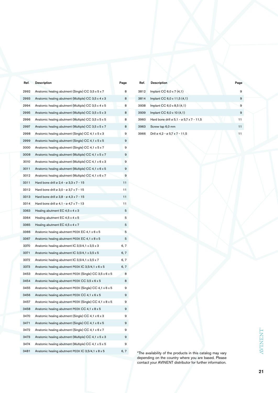| Ref. | Description                                            | Page | Ref. | <b>Description</b>                                         | Page |
|------|--------------------------------------------------------|------|------|------------------------------------------------------------|------|
| 2992 | Anatomic healing abutment (Single) CC 3,5 x 5 x 7      | 8    | 3812 | Implant CC $6,0 \times 7$ $(4,1)$                          | 9    |
| 2993 | Anatomic healing abutment (Multiple) CC 3,5 x 4 x 3    | 8    | 3814 | Implant CC 6,0 x 11,5 (4,1)                                | 9    |
| 2994 | Anatomic healing abutment (Multiple) CC 3,5 x 4 x 5    | 8    | 3938 | Implant CC $6,0 \times 8,5(4,1)$                           | 9    |
| 2995 | Anatomic healing abutment (Multiple) CC 3,5 x 5 x 3    | 8    | 3939 | Implant CC $6,0 \times 10 (4,1)$                           | 9    |
| 2996 | Anatomic healing abutment (Multiple) CC 3,5 x 5 x 5    | 8    | 3960 | Hard bone drill ø 5,1 - ø 5,7 x 7 - 11,5                   | 11   |
| 2997 | Anatomic healing abutment (Multiple) CC 3,5 x 5 x 7    | 8    | 3963 | Screw tap 6,0 mm                                           | 11   |
| 2998 | Anatomic healing abutment (Single) CC 4,1 x 5 x 3      | 9    | 3966 | Drill ø 4,2 - ø 5,7 x 7 - 11,5                             | 11   |
| 2999 | Anatomic healing abutment (Single) CC 4,1 x 5 x 5      | 9    |      |                                                            |      |
| 3000 | Anatomic healing abutment (Single) CC 4,1 x 5 x 7      | 9    |      |                                                            |      |
| 3008 | Anatomic healing abutment (Multiple) CC 4,1 x 5 x 7    | 9    |      |                                                            |      |
| 3010 | Anatomic healing abutment (Multiple) CC 4,1 x 6 x 3    | 9    |      |                                                            |      |
| 3011 | Anatomic healing abutment (Multiple) CC 4,1 x 6 x 5    | 9    |      |                                                            |      |
| 3012 | Anatomic healing abutment (Multiple) CC 4,1 x 6 x 7    | 9    |      |                                                            |      |
| 3311 | Hard bone drill ø 2,4 - ø 3,3 x 7 - 15                 | 11   |      |                                                            |      |
| 3312 | Hard bone drill ø 3,0 - ø 3,7 x 7 - 15                 | 11   |      |                                                            |      |
| 3313 | Hard bone drill ø 3,8 - ø 4,3 x 7 - 15                 | 11   |      |                                                            |      |
| 3314 | Hard bone drill ø 4,1 - ø 4,7 x 7 - 13                 | 11   |      |                                                            |      |
| 3363 | Healing abutment EC 4,5 x 4 x 3                        | 5    |      |                                                            |      |
| 3364 | Healing abutment EC 4,5 x 4 x 5                        | 5    |      |                                                            |      |
| 3365 | Healing abutment EC 4,5 x 4 x 7                        | 5    |      |                                                            |      |
| 3366 | Anatomic healing abutment PEEK EC 4,1 x 6 x 5          | 5    |      |                                                            |      |
| 3367 | Anatomic healing abutment PEEK EC 4,1 x 8 x 5          | 5    |      |                                                            |      |
| 3370 | Anatomic healing abutment IC 3,5/4,1 x 3,5 x 3         | 6, 7 |      |                                                            |      |
| 3371 | Anatomic healing abutment IC 3,5/4,1 x 3,5 x 5         | 6, 7 |      |                                                            |      |
| 3372 | Anatomic healing abutment IC 3,5/4,1 x 3,5 x 7         | 6, 7 |      |                                                            |      |
| 3373 | Anatomic healing abutment PEEK IC 3,5/4,1 x 6 x 5      | 6, 7 |      |                                                            |      |
| 3453 | Anatomic healing abutment PEEK (Single) CC 3,5 x 6 x 5 | 8    |      |                                                            |      |
| 3454 | Anatomic healing abutment PEEK CC 3,5 x 6 x 5          | 8    |      |                                                            |      |
| 3455 | Anatomic healing abutment PEEK (Single) CC 4,1 x 6 x 5 |      |      |                                                            |      |
| 3456 | Anatomic healing abutment PEEK CC 4,1 x 6 x 5          | 9    |      |                                                            |      |
| 3457 | Anatomic healing abutment PEEK (Single) CC 4,1 x 8 x 5 | 9    |      |                                                            |      |
| 3458 | Anatomic healing abutment PEEK CC 4,1 x 8 x 5          | 9    |      |                                                            |      |
| 3470 | Anatomic healing abutment (Single) CC 4,1 x 6 x 3      | 9    |      |                                                            |      |
| 3471 | Anatomic healing abutment (Single) CC 4,1 x 6 x 5      | 9    |      |                                                            |      |
| 3472 | Anatomic healing abutment (Single) CC 4,1 x 6 x 7      | 9    |      |                                                            |      |
| 3473 | Anatomic healing abutment (Multiple) CC 4,1 x 5 x 3    | 9    |      |                                                            |      |
| 3474 | Anatomic healing abutment (Multiple) CC 4,1 x 5 x 5    | 9    |      |                                                            |      |
| 3481 | Anatomic healing abutment PEEK IC 3,5/4,1 x 8 x 5      | 6, 7 |      | *The availability of the products in this catalog may vary |      |

| Ref. | <b>Description</b>                       | Page |
|------|------------------------------------------|------|
| 3812 | Implant CC $6,0 \times 7$ $(4,1)$        | 9    |
| 3814 | Implant CC 6,0 x 11,5 (4,1)              | 9    |
| 3938 | Implant CC 6,0 x 8,5 (4,1)               | 9    |
| 3939 | Implant CC 6,0 x 10 (4,1)                | 9    |
| 3960 | Hard bone drill ø 5,1 - ø 5,7 x 7 - 11,5 | 11   |
| 3963 | Screw tap 6,0 mm                         | 11   |
| 3966 | Drill ø 4,2 - ø 5,7 x 7 - 11,5           | 11   |

\*The availability of the products in this catalog may vary depending on the country where you are based. Please contact your AVINENT distributor for further information.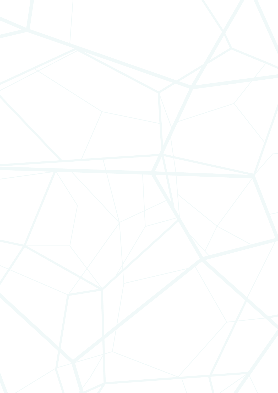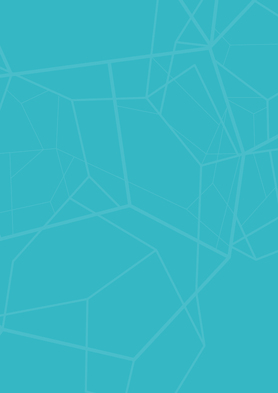